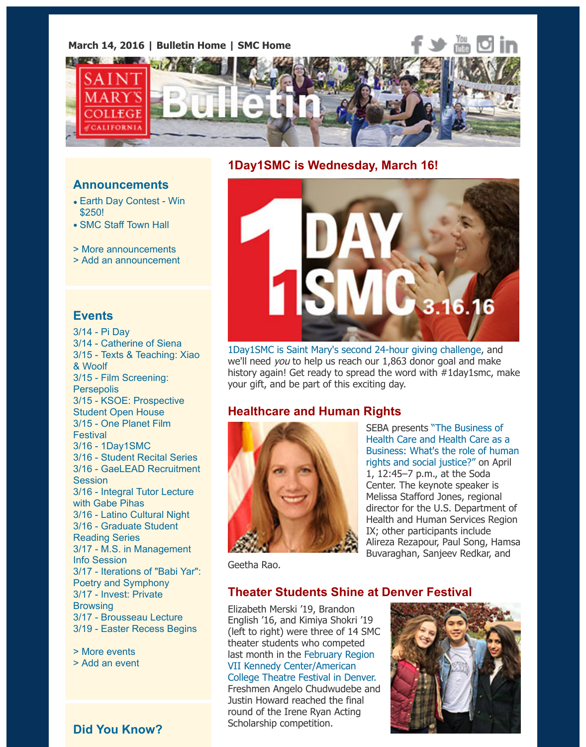

#### **Announcements**

- Earth Day Contest Win \$250!
- SMC Staff Town Hall
- > More announcements
- > Add an announcement

#### **[Events](https://www.stmarys-ca.edu/earth-day-contest?utm_source=Bulletin&utm_medium=email&utm_content=announcement_test&utm_campaign=03-14-2016)**

3[/14 - Pi Day](https://www.stmarys-ca.edu/smc-staff-town-hall?utm_source=Bulletin&utm_medium=email&utm_content=announcement_test&utm_campaign=03-14-2016) 3/14 - Catherine of Siena 3/15 [- Texts & Teaching:](http://www.stmarys-ca.edu/smc-bulletin/announcements?utm_source=Bulletin&utm_medium=email&utm_content=announcement_test&utm_campaign=03-14-2016) [X](http://www.stmarys-ca.edu/node/add/announcement?utm_source=Bulletin&utm_medium=email&utm_content=announcement_test&utm_campaign=03-14-2016)iao & Woolf 3/15 - Film Screening: **Persepolis** 3/15 - KSOE: Prospective Student Open House 3/15 - One Planet Film **Festiv[al](http://www.stmarys-ca.edu/pi-etc?utm_source=Bulletin&utm_medium=email&utm_content=event_test&utm_campaign=03-14-2016)** 3/16 - [1Day1SMC](http://www.stmarys-ca.edu/catherine-of-siena-a-women-of-our-times?utm_source=Bulletin&utm_medium=email&utm_content=event_test&utm_campaign=03-14-2016) [3/16 - Student Recital Series](http://www.stmarys-ca.edu/texts-teaching-xiao-woolf-sem-104?utm_source=Bulletin&utm_medium=email&utm_content=event_test&utm_campaign=03-14-2016) 3/16 - GaeLEAD Recruitment **Session** [3/16 - Integral Tutor Le](http://www.stmarys-ca.edu/film-screening-persepolis-104?utm_source=Bulletin&utm_medium=email&utm_content=event_test&utm_campaign=03-14-2016)cture with Gabe Pihas [3/16 - Latino Cultural Nigh](http://www.stmarys-ca.edu/kalmanovitz-school-of-education-all-program-information-session-for-prospective-students?utm_source=Bulletin&utm_medium=email&utm_content=event_test&utm_campaign=03-14-2016)t [3/16 - Graduate Studen](http://www.stmarys-ca.edu/one-planet-film-festival-2016?utm_source=Bulletin&utm_medium=email&utm_content=event_test&utm_campaign=03-14-2016)t Reading Series 3/17 - [M.S. in Man](http://www.stmarys-ca.edu/1day1smc-a-24-hour-giving-challenge?utm_source=Bulletin&utm_medium=email&utm_content=event_test&utm_campaign=03-14-2016)agement Info S[ession](http://www.stmarys-ca.edu/student-recital-series?utm_source=Bulletin&utm_medium=email&utm_content=event_test&utm_campaign=03-14-2016) [3/17 - Iterations of "Babi Yar":](http://www.stmarys-ca.edu/gaelead-recruitment-sessions?utm_source=Bulletin&utm_medium=email&utm_content=event_test&utm_campaign=03-14-2016) Poetry and Symphony [3/17 - Invest: Private](http://www.stmarys-ca.edu/integral-tutor-lecture-with-gabe-pihas-41616?utm_source=Bulletin&utm_medium=email&utm_content=event_test&utm_campaign=03-14-2016) **Browsing** 3/17 - [Brousseau Lecture](http://www.stmarys-ca.edu/latino-cultural-night-lcn-0?utm_source=Bulletin&utm_medium=email&utm_content=event_test&utm_campaign=03-14-2016) [3/19 - Easter Recess Be](http://www.stmarys-ca.edu/graduate-student-reading-series-1?utm_source=Bulletin&utm_medium=email&utm_content=event_test&utm_campaign=03-14-2016)gins

> More events [> Add an event](http://www.stmarys-ca.edu/new-program-ms-in-management-information-session?utm_source=Bulletin&utm_medium=email&utm_content=event_test&utm_campaign=03-14-2016)

## **Did [You Know?](http://www.stmarys-ca.edu/easter-recess?utm_source=Bulletin&utm_medium=email&utm_content=event_test&utm_campaign=03-14-2016)**

#### **1Day1SMC is Wednesday, March 16!**



1Day1SMC is Saint Mary's second 24-hour giving challenge, and we'll need you to help us reach our 1,863 donor goal and make history again! Get ready to spread the word with  $#1$ day1smc, your gift, and be part of this exciting day.

### **Healthcare and Human Rights**



SEBA presents "The Business of Health Care and Health Care a [Business: What's the role o](http://www.stmarys-ca.edu/1day1smc?utm_source=Bulletin&utm_medium=email&utm_content=feature_test&utm_campaign=03-14-2016)f human rights and social justice?" on A 1, 12:45–7 p.m., at the Soda Center. The keynote speaker is Melissa Stafford Jones, regiona director for the U.S. Departme Health and Human Services Regional IX; other participants include Alireza Rezapour, Paul Song, H Buvaraghan, Sanjeev Redkar, a

Geetha Rao.

#### **Theater Students Shine at Denver Festival**

Elizabeth Merski '19, Brandon English '16, and Kimiya Shokri '19 (left to right) were three of 14 SMC theater students who competed last month in the February Region VII Kennedy Center/American College Theatre Festival in Denver. Freshmen Angelo Chudwudebe and Justin Howard reached the final round of the Irene Ryan Acting Scholarship competition.